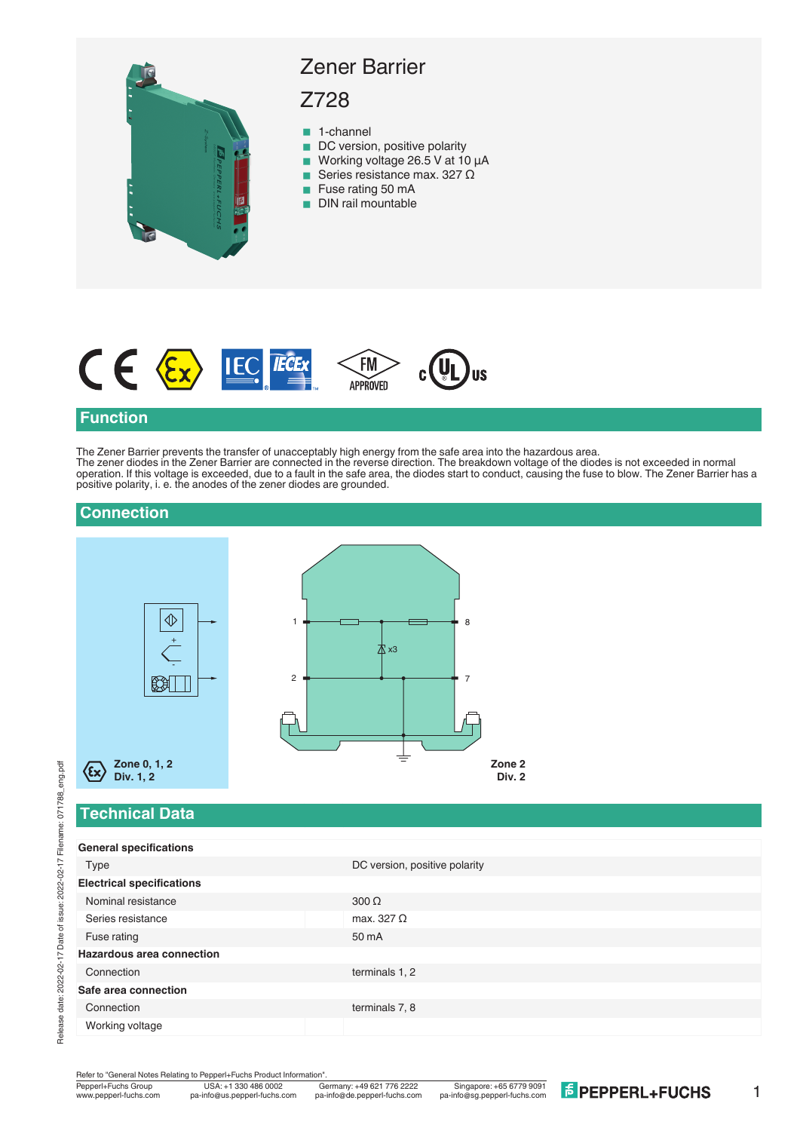



## **Function**

The Zener Barrier prevents the transfer of unacceptably high energy from the safe area into the hazardous area. The zener diodes in the Zener Barrier are connected in the reverse direction. The breakdown voltage of the diodes is not exceeded in normal operation. If this voltage is exceeded, due to a fault in the safe area, the diodes start to conduct, causing the fuse to blow. The Zener Barrier has a positive polarity, i. e. the anodes of the zener diodes are grounded.

| $\left\langle \begin{array}{c} \bigoplus \ \bigoplus \end{array} \right.$<br>8<br>1<br>本 x3<br>$\overline{2}$<br>$\blacksquare$<br>$\mathbb{Z}$<br>₹<br>Zone 0, 1, 2<br>(εx)<br>Div. 1, 2<br><b>Technical Data</b> | Zone <sub>2</sub><br>Div. 2 |
|--------------------------------------------------------------------------------------------------------------------------------------------------------------------------------------------------------------------|-----------------------------|
| <b>General specifications</b>                                                                                                                                                                                      |                             |
| DC version, positive polarity<br>Type                                                                                                                                                                              |                             |
| <b>Electrical specifications</b>                                                                                                                                                                                   |                             |
| Nominal resistance<br>300 $\Omega$                                                                                                                                                                                 |                             |
| Series resistance<br>max. 327 $\Omega$                                                                                                                                                                             |                             |
| Fuse rating<br>50 mA                                                                                                                                                                                               |                             |
| <b>Hazardous area connection</b>                                                                                                                                                                                   |                             |
| Connection<br>terminals 1, 2                                                                                                                                                                                       |                             |
| Safe area connection                                                                                                                                                                                               |                             |
| Connection<br>terminals 7, 8                                                                                                                                                                                       |                             |
| Working voltage                                                                                                                                                                                                    |                             |

Refer to "General Notes Relating to Pepperl+Fuchs Product Information"<br>
Pepperl+Fuchs Group<br>
Www.pepperl-fuchs.com pa-info@us.pepperl-fuchs.com pa

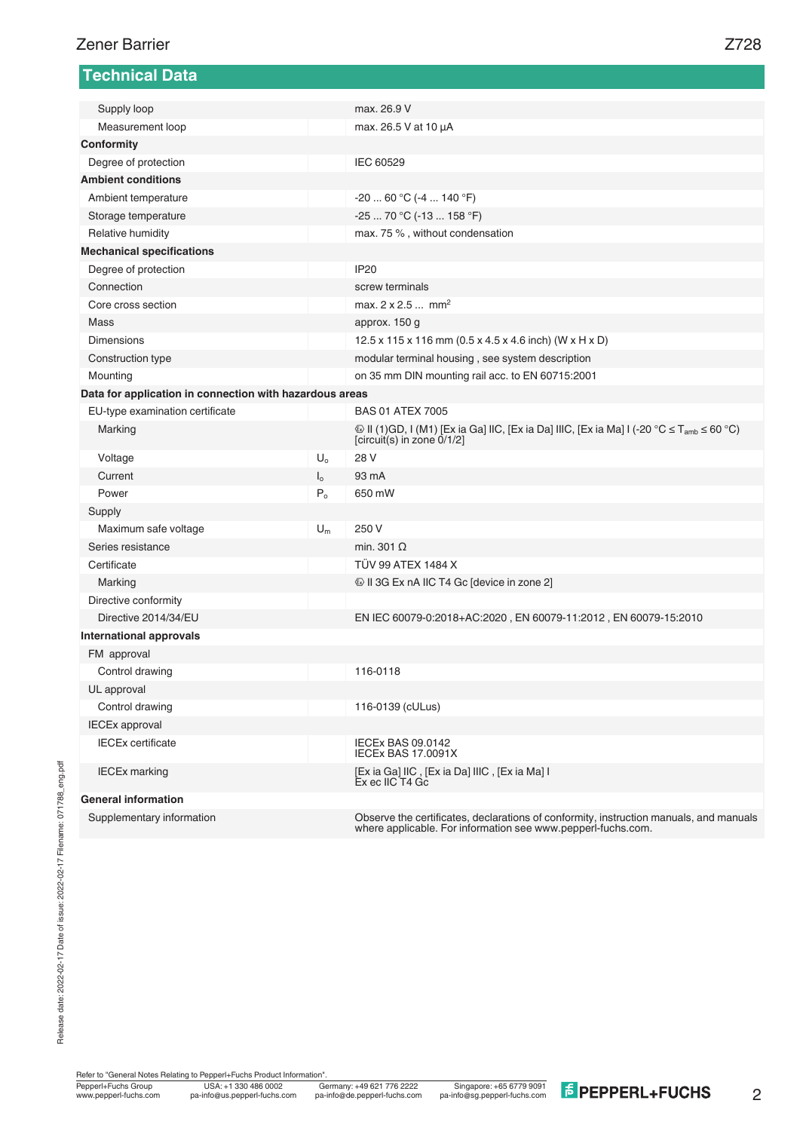| <b>Technical Data</b>                                   |                      |                                                                                                                                                               |
|---------------------------------------------------------|----------------------|---------------------------------------------------------------------------------------------------------------------------------------------------------------|
| Supply loop                                             |                      | max. 26.9 V                                                                                                                                                   |
| Measurement loop                                        |                      | max. 26.5 V at 10 µA                                                                                                                                          |
| Conformity                                              |                      |                                                                                                                                                               |
| Degree of protection                                    |                      | IEC 60529                                                                                                                                                     |
| <b>Ambient conditions</b>                               |                      |                                                                                                                                                               |
| Ambient temperature                                     |                      | $-2060 °C (-4140 °F)$                                                                                                                                         |
| Storage temperature                                     |                      | $-2570 °C (-13158 °F)$                                                                                                                                        |
| Relative humidity                                       |                      | max. 75 %, without condensation                                                                                                                               |
| <b>Mechanical specifications</b>                        |                      |                                                                                                                                                               |
| Degree of protection                                    |                      | <b>IP20</b>                                                                                                                                                   |
| Connection                                              |                      | screw terminals                                                                                                                                               |
| Core cross section                                      |                      | max. $2 \times 2.5$ mm <sup>2</sup>                                                                                                                           |
| Mass                                                    |                      |                                                                                                                                                               |
| Dimensions                                              |                      | approx. 150 g                                                                                                                                                 |
|                                                         |                      | 12.5 x 115 x 116 mm (0.5 x 4.5 x 4.6 inch) (W x H x D)                                                                                                        |
| Construction type                                       |                      | modular terminal housing, see system description                                                                                                              |
| Mounting                                                |                      | on 35 mm DIN mounting rail acc. to EN 60715:2001                                                                                                              |
| Data for application in connection with hazardous areas |                      |                                                                                                                                                               |
| EU-type examination certificate                         |                      | <b>BAS 01 ATEX 7005</b>                                                                                                                                       |
| Marking                                                 |                      | $\circled{$ II (1)GD, I (M1) [Ex ia Ga] IIC, [Ex ia Da] IIIC, [Ex ia Ma] I (-20 $\circ$ C ≤ T <sub>amb</sub> ≤ 60 $\circ$ C)<br>[circuit(s) in zone $0/1/2$ ] |
| Voltage                                                 | $U_{o}$              | 28 V                                                                                                                                                          |
| Current                                                 | $\mathsf{I}_{\circ}$ | 93 mA                                                                                                                                                         |
| Power                                                   | P <sub>o</sub>       | 650 mW                                                                                                                                                        |
| Supply                                                  |                      |                                                                                                                                                               |
| Maximum safe voltage                                    | $U_m$                | 250 V                                                                                                                                                         |
| Series resistance                                       |                      | min. 301 $\Omega$                                                                                                                                             |
| Certificate                                             |                      | <b>TÜV 99 ATEX 1484 X</b>                                                                                                                                     |
| Marking                                                 |                      | Using 13 Solid Solid Solid Solid Solid Solid Solid Solid Solid Solid Solid Solid Solid Solid Solid Solid Soli                                                 |
| Directive conformity                                    |                      |                                                                                                                                                               |
| Directive 2014/34/EU                                    |                      | EN IEC 60079-0:2018+AC:2020, EN 60079-11:2012, EN 60079-15:2010                                                                                               |
| <b>International approvals</b>                          |                      |                                                                                                                                                               |
| FM approval                                             |                      |                                                                                                                                                               |
| Control drawing                                         |                      | 116-0118                                                                                                                                                      |
| UL approval                                             |                      |                                                                                                                                                               |
| Control drawing                                         |                      | 116-0139 (cULus)                                                                                                                                              |
| <b>IECEx approval</b>                                   |                      |                                                                                                                                                               |
| <b>IECEx certificate</b>                                |                      | <b>IECEx BAS 09.0142</b><br>IECEx BAS 17.0091X                                                                                                                |
| <b>IECEx marking</b>                                    |                      | [Ex ia Ga] IIC, [Ex ia Da] IIIC, [Ex ia Ma] I<br>Ex ec IIC T4 Gc                                                                                              |
| <b>General information</b>                              |                      |                                                                                                                                                               |
| Supplementary information                               |                      | Observe the certificates, declarations of conformity, instruction manuals, and manuals                                                                        |

where applicable. For information see www.pepperl-fuchs.com.

2